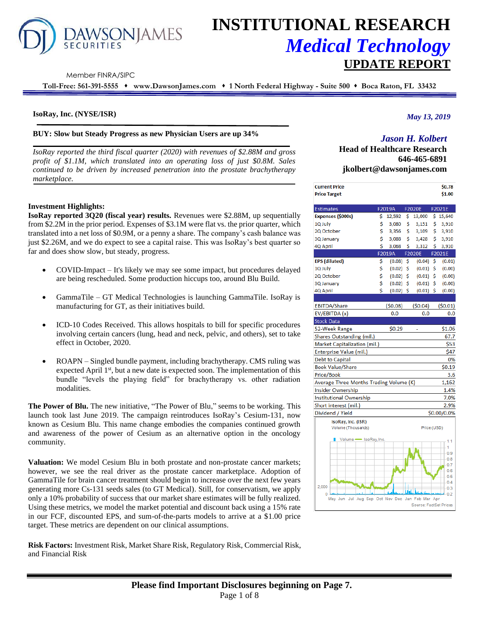

# **INSTITUTIONAL RESEARCH** *Medical Technology* **UPDATE REPORT**

Member FINRA/SIPC

**Toll-Free: 561-391-5555** ⬧ **www.DawsonJames.com** ⬧ **1 North Federal Highway - Suite 500** ⬧ **Boca Raton, FL 33432**

## **IsoRay, Inc. (NYSE/ISR)**

## **BUY: Slow but Steady Progress as new Physician Users are up 34%**

*IsoRay reported the third fiscal quarter (2020) with revenues of \$2.88M and gross profit of \$1.1M, which translated into an operating loss of just \$0.8M. Sales continued to be driven by increased penetration into the prostate brachytherapy marketplace.* 

## **Investment Highlights:**

**IsoRay reported 3Q20 (fiscal year) results.** Revenues were \$2.88M, up sequentially from \$2.2M in the prior period. Expenses of \$3.1M were flat vs. the prior quarter, which translated into a net loss of \$0.9M, or a penny a share. The company's cash balance was just \$2.26M, and we do expect to see a capital raise. This was IsoRay's best quarter so far and does show slow, but steady, progress.

- COVID-Impact It's likely we may see some impact, but procedures delayed are being rescheduled. Some production hiccups too, around Blu Build.
- GammaTile GT Medical Technologies is launching GammaTile. IsoRay is manufacturing for GT, as their initiatives build.
- ICD-10 Codes Received. This allows hospitals to bill for specific procedures involving certain cancers (lung, head and neck, pelvic, and others), set to take effect in October, 2020.
- ROAPN Singled bundle payment, including brachytherapy. CMS ruling was expected April  $1<sup>st</sup>$ , but a new date is expected soon. The implementation of this bundle "levels the playing field" for brachytherapy vs. other radiation modalities.

**The Power of Blu.** The new initiative, "The Power of Blu," seems to be working. This launch took last June 2019. The campaign reintroduces IsoRay's Cesium-131, now known as Cesium Blu. This name change embodies the companies continued growth and awareness of the power of Cesium as an alternative option in the oncology community.

**Valuation:** We model Cesium Blu in both prostate and non-prostate cancer markets; however, we see the real driver as the prostate cancer marketplace. Adoption of GammaTile for brain cancer treatment should begin to increase over the next few years generating more Cs-131 seeds sales (to GT Medical). Still, for conservatism, we apply only a 10% probability of success that our market share estimates will be fully realized. Using these metrics, we model the market potential and discount back using a 15% rate in our FCF, discounted EPS, and sum-of-the-parts models to arrive at a \$1.00 price target. These metrics are dependent on our clinical assumptions.

**Risk Factors:** Investment Risk, Market Share Risk, Regulatory Risk, Commercial Risk, and Financial Risk

## *May 13, 2019*

# *Jason H. Kolbert*

**Head of Healthcare Research 646-465-6891 jkolbert@dawsonjames.com**

| <b>Current Price</b>                                  |    |         |    |                        |     | \$0.78      |
|-------------------------------------------------------|----|---------|----|------------------------|-----|-------------|
| <b>Price Target</b>                                   |    |         |    |                        |     | \$1.00      |
| <b>Estimates</b>                                      |    | F2019A  |    | <b>F2020E</b>          |     | F2021E      |
| Expenses (\$000s)                                     | \$ | 12,592  | \$ | 13,000                 | \$. | 15,640      |
| 1Q July                                               | \$ | 3,080   | \$ | 3,151                  | \$  | 3,910       |
| 2Q October                                            | \$ | 3,356   | \$ | 3,109                  | \$  | 3,910       |
| 3Q January                                            | \$ | 3,088   | \$ | 3,428                  | \$  | 3,910       |
| 4Q April                                              | \$ | 3,068   | Ś  | 3,312                  | Ś   | 3,910       |
|                                                       |    | F2019A  |    | <b>F2020E</b>          |     | F2021E      |
| <b>EPS</b> (diluted)                                  | \$ | (0.08)  | \$ | (0.04)                 | \$  | (0.01)      |
| 1Q July                                               | \$ | (0.02)  | \$ | (0.01)                 | \$  | (0.00)      |
| 2Q October                                            | \$ | (0.02)  | \$ | (0.01)                 | \$  | (0.00)      |
| 3Q January                                            | \$ | (0.02)  | \$ | (0.01)                 | \$  | (0.00)      |
| 4Q April                                              | Ś  | (0.02)  | \$ | (0.01)                 | \$  | (0.00)      |
|                                                       |    |         |    |                        |     |             |
| <b>EBITDA/Share</b>                                   |    | (50.08) |    | (50.04)                |     | (50.01)     |
| EV/EBITDA (x)                                         |    | 0.0     |    | 0.0                    |     | 0.0         |
| <b>Stock Data</b>                                     |    |         |    |                        |     |             |
| 52-Week Range                                         |    | \$0.29  |    |                        |     | \$1.06      |
| Shares Outstanding (mil.)                             |    |         |    |                        |     | 67.7        |
| Market Capitalization (mil.)                          |    |         |    |                        |     | \$53        |
| Enterprise Value (mil.)                               |    |         |    |                        |     | \$47        |
| Debt to Capital                                       |    |         |    |                        |     | 0%          |
| <b>Book Value/Share</b>                               |    |         |    |                        |     | \$0.19      |
| Price/Book                                            |    |         |    |                        |     | 3.6         |
| Average Three Months Trading Volume (K)               |    |         |    |                        |     | 1,162       |
| <b>Insider Ownership</b>                              |    |         |    |                        |     | 1.4%        |
| <b>Institutional Ownership</b>                        |    |         |    |                        |     | 7.0%        |
| Short interest (mil.)                                 |    |         |    |                        |     | 2.9%        |
| Dividend / Yield                                      |    |         |    |                        |     | \$0.00/0.0% |
| IsoRay, Inc. (ISR)                                    |    |         |    |                        |     |             |
| Volume (Thousands)                                    |    |         |    | Price (USD)            |     |             |
| Volume SoRay, Inc.<br>٠                               |    |         |    |                        |     | 1.1         |
|                                                       |    |         |    |                        |     | 1           |
|                                                       |    |         |    |                        |     | 0.9         |
|                                                       |    |         |    |                        |     | 0.8         |
|                                                       |    |         |    |                        |     | 0.7<br>0.6  |
|                                                       |    |         |    |                        |     | 0.5         |
| 2.000                                                 |    |         |    |                        |     | 0.4         |
| $\Omega$                                              |    |         |    |                        |     | 0.3<br>0.2  |
| Aug Sep Oct Nov Dec Jan Feb Mar Apr<br>May Jun<br>Jul |    |         |    |                        |     |             |
|                                                       |    |         |    | Source: EactSet Prices |     |             |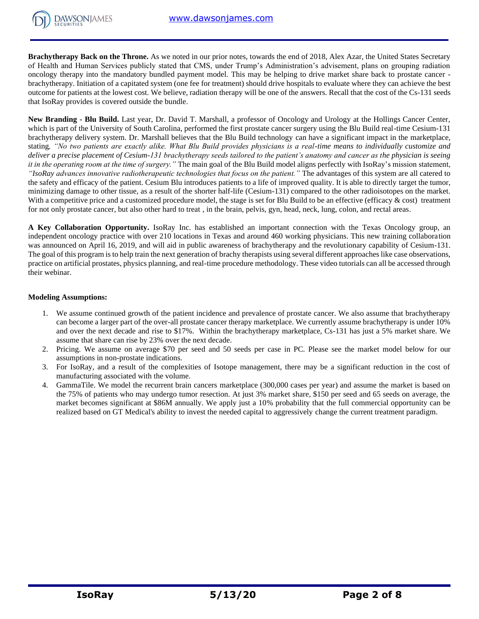**Brachytherapy Back on the Throne.** As we noted in our prior notes, towards the end of 2018, Alex Azar, the United States Secretary of Health and Human Services publicly stated that CMS, under Trump's Administration's advisement, plans on grouping radiation oncology therapy into the mandatory bundled payment model. This may be helping to drive market share back to prostate cancer brachytherapy. Initiation of a capitated system (one fee for treatment) should drive hospitals to evaluate where they can achieve the best outcome for patients at the lowest cost. We believe, radiation therapy will be one of the answers. Recall that the cost of the Cs-131 seeds that IsoRay provides is covered outside the bundle.

**New Branding - Blu Build.** Last year, Dr. David T. Marshall, a professor of Oncology and Urology at the Hollings Cancer Center, which is part of the University of South Carolina, performed the first prostate cancer surgery using the Blu Build real-time Cesium-131 brachytherapy delivery system. Dr. Marshall believes that the Blu Build technology can have a significant impact in the marketplace, stating*, "No two patients are exactly alike. What Blu Build provides physicians is a real-time means to individually customize and deliver a precise placement of Cesium-131 brachytherapy seeds tailored to the patient's anatomy and cancer as the physician is seeing it in the operating room at the time of surgery."* The main goal of the Blu Build model aligns perfectly with IsoRay's mission statement, *"IsoRay advances innovative radiotherapeutic technologies that focus on the patient."* The advantages of this system are all catered to the safety and efficacy of the patient. Cesium Blu introduces patients to a life of improved quality. It is able to directly target the tumor, minimizing damage to other tissue, as a result of the shorter half-life (Cesium-131) compared to the other radioisotopes on the market. With a competitive price and a customized procedure model, the stage is set for Blu Build to be an effective (efficacy  $\&$  cost) treatment for not only prostate cancer, but also other hard to treat , in the brain, pelvis, gyn, head, neck, lung, colon, and rectal areas.

**A Key Collaboration Opportunity.** IsoRay Inc. has established an important connection with the Texas Oncology group, an independent oncology practice with over 210 locations in Texas and around 460 working physicians. This new training collaboration was announced on April 16, 2019, and will aid in public awareness of brachytherapy and the revolutionary capability of Cesium-131. The goal of this program is to help train the next generation of brachy therapists using several different approaches like case observations, practice on artificial prostates, physics planning, and real-time procedure methodology. These video tutorials can all be accessed through their webinar.

## **Modeling Assumptions:**

- 1. We assume continued growth of the patient incidence and prevalence of prostate cancer. We also assume that brachytherapy can become a larger part of the over-all prostate cancer therapy marketplace. We currently assume brachytherapy is under 10% and over the next decade and rise to \$17%. Within the brachytherapy marketplace, Cs-131 has just a 5% market share. We assume that share can rise by 23% over the next decade.
- 2. Pricing. We assume on average \$70 per seed and 50 seeds per case in PC. Please see the market model below for our assumptions in non-prostate indications.
- 3. For IsoRay, and a result of the complexities of Isotope management, there may be a significant reduction in the cost of manufacturing associated with the volume.
- 4. GammaTile. We model the recurrent brain cancers marketplace (300,000 cases per year) and assume the market is based on the 75% of patients who may undergo tumor resection. At just 3% market share, \$150 per seed and 65 seeds on average, the market becomes significant at \$86M annually. We apply just a 10% probability that the full commercial opportunity can be realized based on GT Medical's ability to invest the needed capital to aggressively change the current treatment paradigm.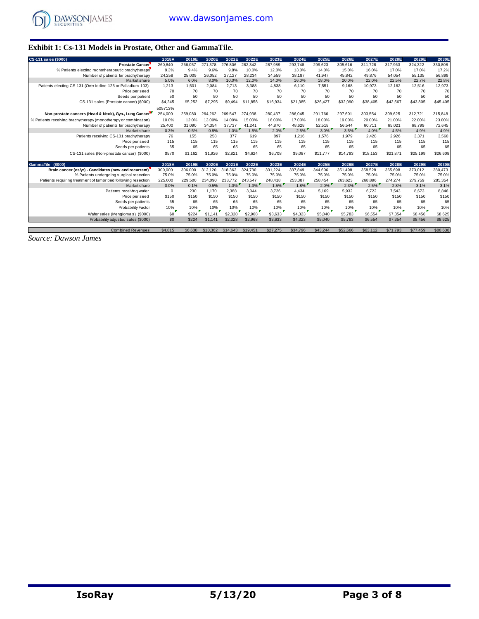

# **Exhibit 1: Cs-131 Models in Prostate, Other and GammaTile.**

| CS-131 sales (\$000)                                            | 2018A      | 2019E   | 2020E    | 2021E    | 2022E    | 2023E    | 2024E    | 2025E    | 2026E    | 2027E    | 2028E    | 2029E    | 2030E    |
|-----------------------------------------------------------------|------------|---------|----------|----------|----------|----------|----------|----------|----------|----------|----------|----------|----------|
| <b>Prostate Cancer</b>                                          | 260,840    | 266,057 | 271,378  | 276,806  | 282,342  | 287,989  | 293,748  | 299,623  | 305,616  | 311.728  | 317,963  | 324,322  | 330,808  |
| % Patients electing monotherapeutic brachytherapy               | 9.3%       | 9.4%    | 9.6%     | 9.8%     | 10.0%    | 12.0%    | 13.0%    | 14.0%    | 15.0%    | 16.0%    | 17.0%    | 17.0%    | 17.2%    |
| Number of patients for brachytherapy                            | 24,258     | 25.009  | 26.052   | 27.127   | 28.234   | 34,559   | 38,187   | 41,947   | 45,842   | 49.876   | 54,054   | 55,135   | 56,899   |
| Market share                                                    | 5.0%       | 6.0%    | 8.0%     | 10.0%    | 12.0%    | 14.0%    | 16.0%    | 18.0%    | 20.0%    | 22.0%    | 22.5%    | 22.7%    | 22.8%    |
| Patients electing CS-131 (Over lodine-125 or Palladium-103)     | 1,213      | 1.501   | 2.084    | 2,713    | 3.388    | 4.838    | 6.110    | 7.551    | 9,168    | 10,973   | 12,162   | 12,516   | 12,973   |
| Price per seed                                                  | 70         | 70      | 70       | 70       | 70       | 70       | 70       | 70       | 70       | 70       | 70       | 70       | 70       |
| Seeds per patient                                               | 50         | 50      | 50       | 50       | 50       | 50       | 50       | 50       | 50       | 50       | 50       | 50       | 50       |
| CS-131 sales (Prostate cancer) (\$000)                          | \$4,245    | \$5,252 | \$7,295  | \$9,494  | \$11,858 | \$16,934 | \$21,385 | \$26,427 | \$32,090 | \$38,405 | \$42,567 | \$43,805 | \$45,405 |
|                                                                 | 505713%    |         |          |          |          |          |          |          |          |          |          |          |          |
| Non-prostate cancers (Head & Neck), Gyn., Lung Cancer           | 254,000    | 259,080 | 264,262  | 269,547  | 274,938  | 280,437  | 286,045  | 291,766  | 297,601  | 303,554  | 309,625  | 312,721  | 315,848  |
| % Patients receiving brachytherapy (monotherapy or combination) | 10.0%      | 12.0%   | 13.00%   | 14.00%   | 15.00%   | 16.00%   | 17.00%   | 18.00%   | 19.00%   | 20.00%   | 21.00%   | 22.00%   | 23.00%   |
| Number of patients for brachytherapy                            | 25,400     | 31.090  | 34,354   | 37.737   | 41.241   | 44.870   | 48,628   | 52,518   | 56,544   | 60.711   | 65,021   | 68.799   | 72,645   |
| Market share                                                    | 0.3%       | 0.5%    | 0.8%     | 1.0%     | 1.5%     | $2.0\%$  | $2.5\%$  | $3.0\%$  | $3.5\%$  | $4.0\%$  | 4.5%     | 4.9%     | 4.9%     |
| Patients receiving CS-131 brachytherapy                         | 76         | 155     | 258      | 377      | 619      | 897      | 1.216    | 1,576    | 1,979    | 2.428    | 2.926    | 3.371    | 3,560    |
| Price per seed                                                  | 115        | 115     | 115      | 115      | 115      | 115      | 115      | 115      | 115      | 115      | 115      | 115      | 115      |
| Seeds per patients                                              | 65         | 65      | 65       | 65       | 65       | 65       | 65       | 65       | 65       | 65       | 65       | 65       | 65       |
| CS-131 sales (Non-prostate cancer) (\$000)                      | \$570      | \$1,162 | \$1,926  | \$2,821  | \$4,624  | \$6,708  | \$9,087  | \$11,777 | \$14,793 | \$18,153 | \$21.871 | \$25.199 | \$26,608 |
|                                                                 |            |         |          |          |          |          |          |          |          |          |          |          |          |
| GammaTile (\$000)                                               | 2018A      | 2019E   | 2020E    | 2021E    | 2022E    | 2023E    | 2024E    | 2025E    | 2026E    | 2027E    | 2028E    | 2029E    | 2030E    |
| Brain cancer (cs/yr) - Candidates (new and recurrent)           | 300,000    | 306,000 | 312,120  | 318,362  | 324.730  | 331,224  | 337,849  | 344,606  | 351,498  | 358,528  | 365,698  | 373,012  | 380,473  |
| % Patients undergoing surgical resection                        | 75.0%      | 75.0%   | 75.0%    | 75.0%    | 75.0%    | 75.0%    | 75.0%    | 75.0%    | 75.0%    | 75.0%    | 75.0%    | 75.0%    | 75.0%    |
| Patients requiring treatment of tumor bed following resection   | 225,000    | 229,500 | 234,090  | 238,772  | 243.547  | 248.418  | 253.387  | 258.454  | 263.623  | 268.896  | 274.274  | 279,759  | 285,354  |
| Market share                                                    | 0.0%       | 0.1%    | 0.5%     | $1.0\%$  | $1.3\%$  | $1.5\%$  | $1.8\%$  | $2.0\%$  | $2.3\%$  | $2.5\%$  | 2.8%     | 3.1%     | 3.1%     |
| Patients receiving wafer                                        | $^{\circ}$ | 230     | 1.170    | 2,388    | 3,044    | 3.726    | 4,434    | 5,169    | 5,932    | 6.722    | 7.543    | 8.673    | 8,846    |
| Price per seed                                                  | \$150      | \$150   | \$150    | \$150    | \$150    | \$150    | \$150    | \$150    | \$150    | \$150    | \$150    | \$150    | \$150    |
| Seeds per patients                                              | 65         | 65      | 65       | 65       | 65       | 65       | 65       | 65       | 65       | 65       | 65       | 65       | 65       |
| Probability Factor                                              | 10%        | 10%     | 10%      | 10%      | 10%      | 10%      | 10%      | 10%      | 10%      | 10%      | 10%      | 10%      | 10%      |
| Wafer sales (Mengioma's) (\$000)                                | \$0        | \$224   | \$1,141  | \$2,328  | \$2,968  | \$3,633  | \$4,323  | \$5,040  | \$5,783  | \$6,554  | \$7,354  | \$8,456  | \$8,625  |
| Probability adjusted sales (\$000)                              | \$0        | \$224   | \$1,141  | \$2,328  | \$2,968  | \$3,633  | \$4,323  | \$5,040  | \$5,783  | \$6,554  | \$7,354  | \$8,456  | \$8,625  |
|                                                                 |            |         |          |          |          |          |          |          |          |          |          |          |          |
| <b>Combined Revenues</b>                                        | \$4,815    | \$6,638 | \$10,362 | \$14,643 | \$19,451 | \$27,275 | \$34,796 | \$43,244 | \$52,666 | \$63,112 | \$71,793 | \$77,459 | \$80,638 |

*Source: Dawson James*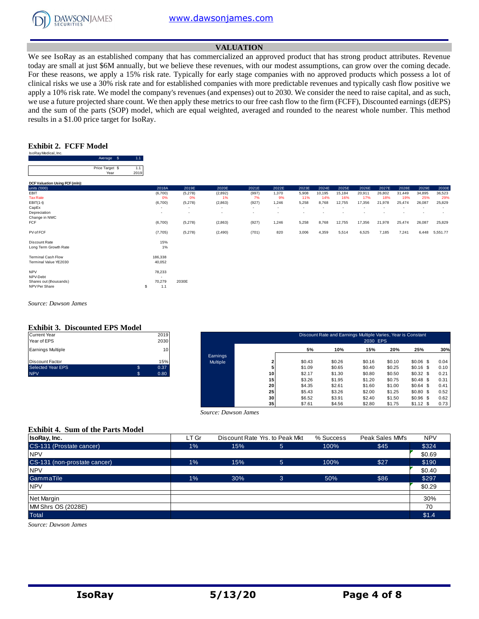

## **VALUATION**

We see IsoRay as an established company that has commercialized an approved product that has strong product attributes. Revenue today are small at just \$6M annually, but we believe these revenues, with our modest assumptions, can grow over the coming decade. For these reasons, we apply a 15% risk rate. Typically for early stage companies with no approved products which possess a lot of clinical risks we use a 30% risk rate and for established companies with more predictable revenues and typically cash flow positive we apply a 10% risk rate. We model the company's revenues (and expenses) out to 2030. We consider the need to raise capital, and as such, we use a future projected share count. We then apply these metrics to our free cash flow to the firm (FCFF), Discounted earnings (dEPS) and the sum of the parts (SOP) model, which are equal weighted, averaged and rounded to the nearest whole number. This method results in a \$1.00 price target for IsoRay.

#### **Exhibit 2. FCFF Model** oRay Medical, In

|                                | Average<br>- \$         | 1.1         |                                    |                          |                          |                          |                          |                          |        |        |        |        |        |        |          |
|--------------------------------|-------------------------|-------------|------------------------------------|--------------------------|--------------------------|--------------------------|--------------------------|--------------------------|--------|--------|--------|--------|--------|--------|----------|
|                                | Price Target \$<br>Year | 1.1<br>2019 |                                    |                          |                          |                          |                          |                          |        |        |        |        |        |        |          |
| DCF Valuation Using FCF (mln): |                         |             |                                    |                          |                          |                          |                          |                          |        |        |        |        |        |        |          |
| units ('000)                   |                         |             | 2018A                              | 2019E                    | 2020E                    | 2021E                    | 2022E                    | 2023E                    | 2024E  | 2025E  | 2026E  | 2027E  | 2028E  | 2029E  | 2030E    |
| EBIT                           |                         |             | (6,700)                            | (5,278)                  | (2,892)                  | (997)                    | 1,370                    | 5,908                    | 10,195 | 15,184 | 20,911 | 26,802 | 31,449 | 34,895 | 36,523   |
| <b>Tax Rate</b>                |                         |             | 0%                                 | 0%                       | 1%                       | 7%                       | 9%                       | 11%                      | 14%    | 16%    | 17%    | 18%    | 19%    | 25%    | 29%      |
| $EBIT(1-t)$                    |                         |             | (6,700)                            | (5,278)                  | (2,863)                  | (927)                    | 1,246                    | 5,258                    | 8,768  | 12,755 | 17,356 | 21,978 | 25,474 | 26,087 | 25,829   |
| CapEx                          |                         |             | $\overline{\phantom{a}}$           | $\overline{\phantom{a}}$ | $\overline{\phantom{a}}$ | $\sim$                   | $\overline{\phantom{a}}$ | $\overline{\phantom{a}}$ |        |        |        |        |        |        | ٠        |
| Depreciation                   |                         |             | $\overline{\phantom{a}}$           | $\overline{\phantom{a}}$ | ٠                        | $\overline{\phantom{a}}$ | $\overline{\phantom{a}}$ | $\overline{\phantom{a}}$ |        |        |        |        |        |        |          |
| Change in NWC                  |                         |             |                                    |                          |                          |                          |                          |                          |        |        |        |        |        |        |          |
| <b>FCF</b>                     |                         |             | (6,700)                            | (5,278)                  | (2,863)                  | (927)                    | 1,246                    | 5,258                    | 8,768  | 12,755 | 17,356 | 21,978 | 25,474 | 26,087 | 25,829   |
| PV of FCF                      |                         |             | (7,705)                            | (5,278)                  | (2,490)                  | (701)                    | 820                      | 3,006                    | 4,359  | 5,514  | 6,525  | 7,185  | 7,241  | 6,448  | 5,551.77 |
| Discount Rate                  |                         |             | 15%                                |                          |                          |                          |                          |                          |        |        |        |        |        |        |          |
| Long Term Growth Rate          |                         |             | 1%                                 |                          |                          |                          |                          |                          |        |        |        |        |        |        |          |
| <b>Terminal Cash Flow</b>      |                         |             | 186,338                            |                          |                          |                          |                          |                          |        |        |        |        |        |        |          |
| Terminal Value YE2030          |                         |             | 40,052                             |                          |                          |                          |                          |                          |        |        |        |        |        |        |          |
|                                |                         |             |                                    |                          |                          |                          |                          |                          |        |        |        |        |        |        |          |
| <b>NPV</b><br>NPV-Debt         |                         |             | 78,233<br>$\overline{\phantom{a}}$ |                          |                          |                          |                          |                          |        |        |        |        |        |        |          |
| Shares out (thousands)         |                         |             | 70,279                             | 2030E                    |                          |                          |                          |                          |        |        |        |        |        |        |          |
| NPV Per Share                  |                         | s           | 1.1                                |                          |                          |                          |                          |                          |        |        |        |        |        |        |          |
|                                |                         |             |                                    |                          |                          |                          |                          |                          |        |        |        |        |        |        |          |

*Source: Dawson James*

#### **Exhibit 3. Discounted EPS Model**

| <b>Current Year</b>      |    | 2019 |
|--------------------------|----|------|
| Year of EPS              |    | 2030 |
| <b>Earnings Multiple</b> |    | 10   |
| Discount Factor          |    | 15%  |
| <b>Selected Year EPS</b> | \$ | 0.37 |
| <b>NPV</b>               | 'S | 0.80 |

| Current Year<br>Year of EPS |              | 2019<br>2030 |          |                 |        | Discount Rate and Earnings Multiple Varies, Year is Constant | 2030 EPS |        |             |      |
|-----------------------------|--------------|--------------|----------|-----------------|--------|--------------------------------------------------------------|----------|--------|-------------|------|
| Earnings Multiple           |              | 10           |          |                 | 5%     | 10%                                                          | 15%      | 20%    | 25%         | 30%  |
|                             |              |              | Earnings |                 |        |                                                              |          |        |             |      |
| Discount Factor             |              | 15%          | Multiple |                 | \$0.43 | \$0.26                                                       | \$0.16   | \$0.10 | $$0.06$$ \$ | 0.04 |
| Selected Year EPS           | $\mathbb{S}$ | 0.37         |          |                 | \$1.09 | \$0.65                                                       | \$0.40   | \$0.25 | $$0.16$ \$  | 0.10 |
| <b>NPV</b>                  |              | 0.80         |          | 10              | \$2.17 | \$1.30                                                       | \$0.80   | \$0.50 | \$0.32\$    | 0.21 |
|                             |              |              |          | 15              | \$3.26 | \$1.95                                                       | \$1.20   | \$0.75 | $$0.48$ \$  | 0.31 |
|                             |              |              |          | 20              | \$4.35 | \$2.61                                                       | \$1.60   | \$1.00 | \$0.64\$    | 0.41 |
|                             |              |              |          | 25              | \$5.43 | \$3.26                                                       | \$2.00   | \$1.25 | $$0.80$$ \$ | 0.52 |
|                             |              |              |          | 30              | \$6.52 | \$3.91                                                       | \$2.40   | \$1.50 | $$0.96$ \$  | 0.62 |
|                             |              |              |          | 35 <sub>1</sub> | \$7.61 | \$4.56                                                       | \$2.80   | \$1.75 | $$1.12$ \$  | 0.73 |

## **Exhibit 4. Sum of the Parts Model**

|                                          |       | Source: Dawson James | -- 1                           | .         | .               | ----       |
|------------------------------------------|-------|----------------------|--------------------------------|-----------|-----------------|------------|
| <b>Exhibit 4. Sum of the Parts Model</b> |       |                      |                                |           |                 |            |
| IsoRay, Inc.                             | LT Gr |                      | Discount Rate Yrs. to Peak Mkt | % Success | Peak Sales MM's | <b>NPV</b> |
| CS-131 (Prostate cancer)                 | 1%    | 15%                  | 5                              | 100%      | \$45            | \$324      |
| <b>NPV</b>                               |       |                      |                                |           |                 | \$0.69     |
| CS-131 (non-prostate cancer)             | 1%    | 15%                  | 5 <sup>5</sup>                 | 100%      | \$27            | \$190      |
| <b>NPV</b>                               |       |                      |                                |           |                 | \$0.40     |
| GammaTile                                | 1%    | 30%                  | 3                              | 50%       | \$86            | \$297      |
| <b>NPV</b>                               |       |                      |                                |           |                 | \$0.29     |
| Net Margin                               |       |                      |                                |           |                 | 30%        |
| MM Shrs OS (2028E)                       |       |                      |                                |           |                 | 70         |
| <b>Total</b>                             |       |                      |                                |           |                 | \$1.4      |

*Source: Dawson James*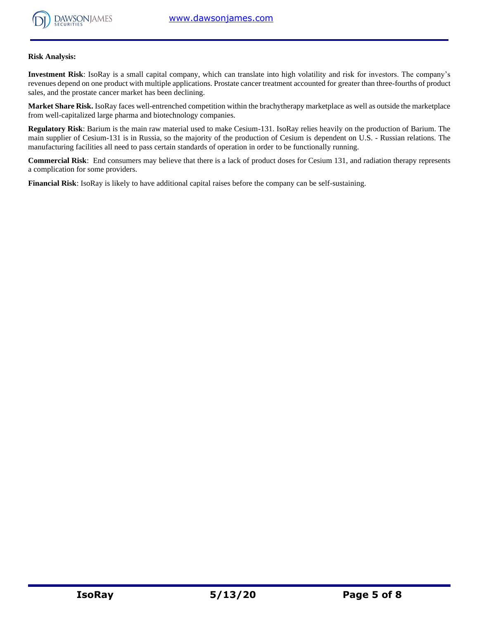

## **Risk Analysis:**

**Investment Risk**: IsoRay is a small capital company, which can translate into high volatility and risk for investors. The company's revenues depend on one product with multiple applications. Prostate cancer treatment accounted for greater than three-fourths of product sales, and the prostate cancer market has been declining.

**Market Share Risk.** IsoRay faces well-entrenched competition within the brachytherapy marketplace as well as outside the marketplace from well-capitalized large pharma and biotechnology companies.

**Regulatory Risk**: Barium is the main raw material used to make Cesium-131. IsoRay relies heavily on the production of Barium. The main supplier of Cesium-131 is in Russia, so the majority of the production of Cesium is dependent on U.S. - Russian relations. The manufacturing facilities all need to pass certain standards of operation in order to be functionally running.

**Commercial Risk**: End consumers may believe that there is a lack of product doses for Cesium 131, and radiation therapy represents a complication for some providers.

**Financial Risk**: IsoRay is likely to have additional capital raises before the company can be self-sustaining.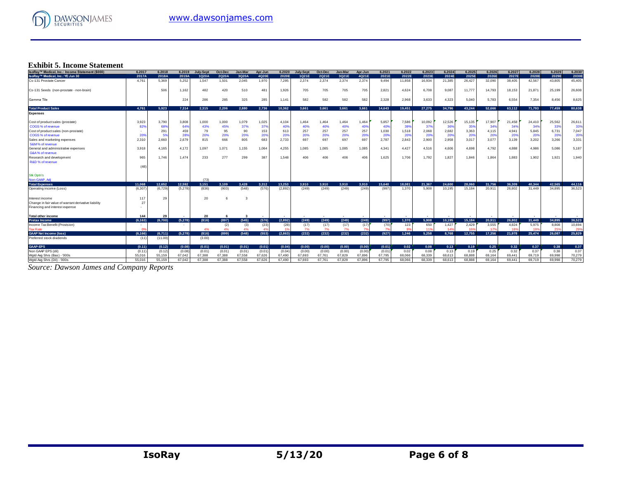

# **Exhibit 5. Income Statement**

| IsoRay™ Medical, Inc.: Income Statement (\$000)      | 6.2017   | 6.2018  | 6.2019  | <b>July-Sept</b> | Oct-Dec | Jan-Mar | Apr-Jun                  | 6.2020  | July-Sept | Oct-Dec | Jan-Mar | Apr-Jun      | 6.2021 | 6.2022 | 6.2023          | 6.2024 | 6.2025 | 6.2026 | 6.2027 | 6.2028 | 6.2029 | 6.2030 |
|------------------------------------------------------|----------|---------|---------|------------------|---------|---------|--------------------------|---------|-----------|---------|---------|--------------|--------|--------|-----------------|--------|--------|--------|--------|--------|--------|--------|
| IsoRay™ Medical, Inc.: YE Jun 30                     | 2017A    | 2018A   | 2019A   | 1Q20A            | 2Q20A   | 3Q20A   | 4Q20E                    | 2020E   | 1Q21E     | 2Q21E   | 3Q21E   | 4Q21E        | 2021E  | 2022E  | 2023E           | 2024E  | 2025E  | 2026E  | 2027E  | 2028E  | 2029E  | 2030E  |
| Cs-131 Prostate Cancer                               | 4.761    | 5.369   | 5.252   | 1.547            | 1,501   | 2,045   | 1.970                    | 7,295   | 2.374     | 2.374   | 2.374   | 2,374        | 9.494  | 11.858 | 16,934          | 21,385 | 26,427 | 32,090 | 38.405 | 42,567 | 43.805 | 45,405 |
| Cs-131 Seeds (non-prostate - non-brain)              |          | 506     | 1.162   | 482              | 420     | 510     | 48 <sup>°</sup>          | 1,926   | 705       | 705     | 705     | 705          | 2,821  | 4,624  | 6,708           | 9,087  | 11,777 | 14.793 | 18.153 | 21.87  | 25,199 | 26,608 |
| Gamma Tile                                           |          |         | 224     | 286              | 285     | 325     | 285                      | 1,141   | 582       | 582     | 582     | 582          | 2,328  | 2,968  | 3,633           | 4,323  | 5,040  | 5,783  | 6,554  | 7,354  | 8,456  | 8,625  |
| <b>Total Product Sales</b>                           | 4.761    | 5.923   | 7.314   | 2.315            | 2.206   | 2.880   | 2.736                    | 10.362  | 3.661     | 3.661   | 3.661   | 3.661        | 14.643 | 19,451 | 27.275          | 34.796 | 43.244 | 52.666 | 63.112 | 71.793 | 77.459 | 80.638 |
| <b>Expenses</b>                                      |          |         |         |                  |         |         |                          |         |           |         |         |              |        |        |                 |        |        |        |        |        |        |        |
| Cost of product sales (prostate)                     | 3.923    | 3.790   | 3,808   | 1.000            | 1.000   | 1,079   | 1,025                    | 4,104   | 1,464     | 1.464   | 1,464   | 1,464        | 5,857  | 7,586  | 10,092          | 12,526 | 15,135 | 17,907 | 21.458 | 24,410 | 25,562 | 26,611 |
| COGS % of revenue                                    | 829      | 68%     | 64%     | 43%              | 45%     | 37%     | 379                      | 40%     | 40%       | 40%     | 40%     | 40%          | 40%    | 399    | 379             | 36%    | 35%    | 34%    | 34%    | 34%    | 33%    | 33%    |
| Cost of product sales (non-prostate)                 |          | 291     | 459     | 79               | 95      | 90      | 153                      | 613     | 257       | 257     | 257     | 257          | 1,030  | 1,518  | 2,068           | 2,682  | 3,363  | 4,115  | 4.941  | 5,845  | 6,731  | 7,047  |
| COGS % of revenue                                    | 20%      | 5%      | 28%     | 20%              | 20%     | 20%     | 20%                      | 20%     | 20%       | 20%     | 20%     | $20^{\circ}$ | 20%    | 20%    | 20%             | 20%    | 20%    | 20%    | 20%    | 20%    | 20%    | 20%    |
| Sales and marketing expenses                         | 2.310    | 2.660   | 2,679   | 815              | 666     | 805     | 683                      | 2,733   | 697       | 697     | 697     | 697          | 2,787  | 2,843  | 2,900           | 2,958  | 3,017  | 3,077  | 3,139  | 3,202  | 3,266  | 3,331  |
| S&M% of revenue                                      |          |         |         |                  |         |         |                          |         |           |         |         |              |        |        |                 |        |        |        |        |        |        |        |
| General and administrative expenses                  | 3,918    | 4,165   | 4,172   | 1,097            | 1,071   | 1,155   | 1,064                    | 4,255   | 1,085     | 1,085   | 1,085   | 1,085        | 4,341  | 4,427  | 4,516           | 4,606  | 4,698  | 4,792  | 4,888  | 4,986  | 5,086  | 5,187  |
| G&A% of revenue                                      |          |         |         |                  |         |         |                          |         |           |         |         |              |        |        |                 |        |        |        |        |        |        |        |
| Research and development                             | 965      | 1.746   | 1,474   | 233              | 277     | 299     | 387                      | 1,548   | 406       | 406     | 406     | 406          | 1,625  | 1,706  | 1,792           | 1,827  | 1,846  | 1,864  | 1.883  | 1,902  | 1,921  | 1,940  |
| R&D % of revenue                                     |          |         |         |                  |         |         |                          |         |           |         |         |              |        |        |                 |        |        |        |        |        |        |        |
|                                                      | (48)     |         |         |                  |         |         |                          |         |           |         |         |              |        |        |                 |        |        |        |        |        |        |        |
| <b>Stk Optn's</b>                                    |          |         |         |                  |         |         |                          |         |           |         |         |              |        |        |                 |        |        |        |        |        |        |        |
| Non-GAAP, Adj                                        |          |         |         | (73)             |         |         |                          |         |           |         |         |              |        |        |                 |        |        |        |        |        |        |        |
| <b>Total Expenses</b>                                | 11.068   | 12.652  | 12.592  | 3.151            | 3.109   | 3.428   | 3.312                    | 13.253  | 3.910     | 3.910   | 3.910   | 3.910        | 15,640 | 18.081 | 21.367          | 24,600 | 28.060 | 31.756 | 36,309 | 40.344 | 42.565 | 44.116 |
| Operating income (Loss)                              | (6, 307) | (6.729) | (5,278) | (836)            | (903)   | (548)   | (576)                    | (2,892) | (249)     | (249)   | (249)   | (249)        | (997   | 1.370  | 5.908           | 10.195 | 15.184 | 20.911 | 26,802 | 31,449 | 34,895 | 36,523 |
| Interest income                                      | 117      | 29      |         | 20               | 6       |         |                          |         |           |         |         |              |        |        |                 |        |        |        |        |        |        |        |
| Change in fair value of warrant derivative liability | 27       |         |         |                  |         |         |                          |         |           |         |         |              |        |        |                 |        |        |        |        |        |        |        |
| Financing and interest expense                       |          |         |         |                  |         |         |                          |         |           |         |         |              |        |        |                 |        |        |        |        |        |        |        |
| <b>Total other income</b>                            | 144      | 29      |         | 20               | 6       | -3      | $\overline{\phantom{a}}$ | . .     |           |         |         |              |        |        |                 |        |        |        |        |        |        |        |
| <b>Pretax Income</b>                                 | (6.163)  | (6.700) | (5,278) | (816)            | (897)   | (545)   | (576)                    | (2.892) | (249)     | (249)   | (249)   | (249)        | (997)  | 1.370  | 5.908           | 10.195 | 15.184 | 20.911 | 26,802 | 31,449 | 34,895 | 36,523 |
| Income Tax Benefit (Provision)                       | $\sim$   |         |         |                  | (2)     | (3)     | (23)                     | (28)    | (17)      | (17)    | (17)    | (17)         | (70)   | 123    | 650             | 1,427  | 2,429  | 3,555  | 4,824  | 5,975  | 8,808  | 10,694 |
| <b>Tax Rate</b>                                      | $\Omega$ |         |         | 4%               | 4%      | 4%      |                          |         | 7%        | 7%      | 7%      |              |        | 99     | 11 <sup>1</sup> | 149    | 169    | 179    |        |        | 25%    | 29%    |
| <b>GAAP Net Income (loss)</b>                        | (6.166)  | (6,711) | (5,278) | (816)            | (899)   | (548)   | (553)                    | (2,863) | (232)     | (232)   | (232)   | (232)        | (927)  | 1.246  | 5.258           | 8.768  | 12.755 | 17.356 | 21.978 | 25.474 | 26.087 | 25,829 |
| Preferred stock dividends                            | (11)     | (11.00) |         | (3.00)           |         |         |                          |         |           |         |         |              |        |        |                 |        |        |        |        |        |        |        |
| <b>GAAP-EPS</b>                                      | (0.11)   | (0.12)  | (0.08)  | (0.01)           | (0.01)  | (0.01)  | (0.01)                   | (0.04)  | (0.00)    | (0.00)  | (0.00)  | (0.00)       | (0.01) | 0.02   | 0.08            | 0.13   | 0.19   | 0.25   | 0.32   | 0.37   | 0.38   | 0.37   |
| Non GAAP EPS (dil)                                   | (0.11)   | (0.12)  | (0.08)  | (0.01)           | (0.01)  | (0.01)  | (0.01)                   | (0.04)  | (0.00)    | (0.00)  | (0.00)  | (0.00)       | (0.01) | 0.02   | 0.08            | 0.13   | 0.19   | 0.25   | 0.32   | 0.37   | 0.38   | 0.37   |
| Wotd Ava Shrs (Bas) - '000s                          | 55.016   | 55.159  | 67.042  | 67.388           | 67.388  | 67.558  | 67.626                   | 67.490  | 67.693    | 67.761  | 67.829  | 67,896       | 67.795 | 68,066 | 68.339          | 68,613 | 68.888 | 69.164 | 69.441 | 69.719 | 69.998 | 70.279 |
| Watd Ava Shrs (Dil) - '000s                          | 55.016   | 55,159  | 67,042  | 67.388           | 67.388  | 67.558  | 67.626                   | 67.490  | 67.693    | 67.761  | 67.829  | 67.896       | 67.795 | 68.066 | 68.339          | 68.613 | 68.888 | 69.164 | 69.441 | 69.719 | 69,998 | 70.279 |

*Source: Dawson James and Company Reports*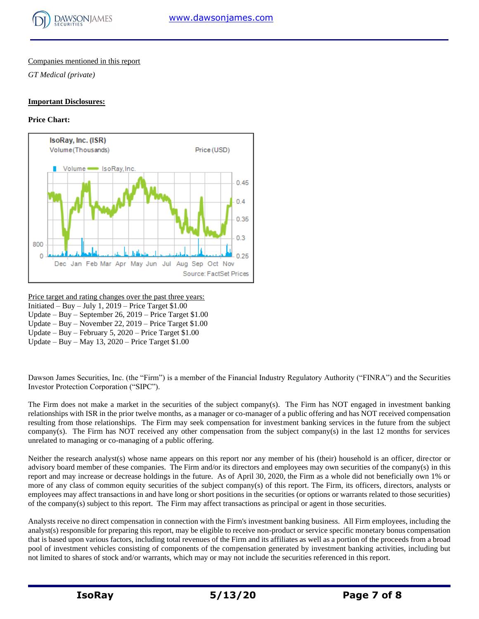

## Companies mentioned in this report

*GT Medical (private)*

## **Important Disclosures:**

## **Price Chart:**



Price target and rating changes over the past three years:

Initiated – Buy – July 1,  $2019$  – Price Target \$1.00 Update – Buy – September 26, 2019 – Price Target \$1.00

Update – Buy – November 22, 2019 – Price Target \$1.00

Update – Buy – February 5, 2020 – Price Target \$1.00

Update – Buy – May 13, 2020 – Price Target \$1.00

Dawson James Securities, Inc. (the "Firm") is a member of the Financial Industry Regulatory Authority ("FINRA") and the Securities Investor Protection Corporation ("SIPC").

The Firm does not make a market in the securities of the subject company(s). The Firm has NOT engaged in investment banking relationships with ISR in the prior twelve months, as a manager or co-manager of a public offering and has NOT received compensation resulting from those relationships. The Firm may seek compensation for investment banking services in the future from the subject company(s). The Firm has NOT received any other compensation from the subject company(s) in the last 12 months for services unrelated to managing or co-managing of a public offering.

Neither the research analyst(s) whose name appears on this report nor any member of his (their) household is an officer, director or advisory board member of these companies. The Firm and/or its directors and employees may own securities of the company(s) in this report and may increase or decrease holdings in the future. As of April 30, 2020, the Firm as a whole did not beneficially own 1% or more of any class of common equity securities of the subject company(s) of this report. The Firm, its officers, directors, analysts or employees may affect transactions in and have long or short positions in the securities (or options or warrants related to those securities) of the company(s) subject to this report. The Firm may affect transactions as principal or agent in those securities.

Analysts receive no direct compensation in connection with the Firm's investment banking business. All Firm employees, including the analyst(s) responsible for preparing this report, may be eligible to receive non-product or service specific monetary bonus compensation that is based upon various factors, including total revenues of the Firm and its affiliates as well as a portion of the proceeds from a broad pool of investment vehicles consisting of components of the compensation generated by investment banking activities, including but not limited to shares of stock and/or warrants, which may or may not include the securities referenced in this report.